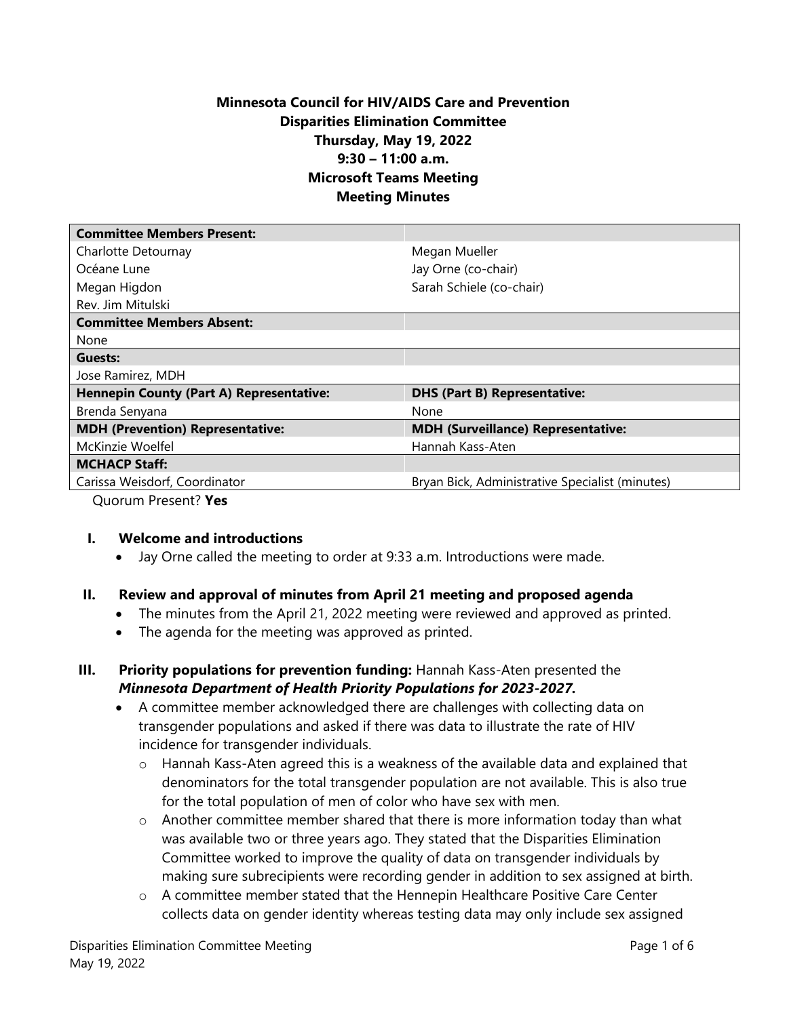# **Minnesota Council for HIV/AIDS Care and Prevention Disparities Elimination Committee Thursday, May 19, 2022 9:30 – 11:00 a.m. Microsoft Teams Meeting Meeting Minutes**

| <b>Committee Members Present:</b>               |                                                 |
|-------------------------------------------------|-------------------------------------------------|
| Charlotte Detournay                             | Megan Mueller                                   |
| Océane Lune                                     | Jay Orne (co-chair)                             |
| Megan Higdon                                    | Sarah Schiele (co-chair)                        |
| Rev. Jim Mitulski                               |                                                 |
| <b>Committee Members Absent:</b>                |                                                 |
| None                                            |                                                 |
| Guests:                                         |                                                 |
| Jose Ramirez, MDH                               |                                                 |
| <b>Hennepin County (Part A) Representative:</b> | <b>DHS (Part B) Representative:</b>             |
| Brenda Senyana                                  | None                                            |
| <b>MDH (Prevention) Representative:</b>         | <b>MDH (Surveillance) Representative:</b>       |
| McKinzie Woelfel                                | Hannah Kass-Aten                                |
| <b>MCHACP Staff:</b>                            |                                                 |
| Carissa Weisdorf, Coordinator                   | Bryan Bick, Administrative Specialist (minutes) |
|                                                 |                                                 |

Quorum Present? **Yes**

#### **I. Welcome and introductions**

• Jay Orne called the meeting to order at 9:33 a.m. Introductions were made.

#### **II. Review and approval of minutes from April 21 meeting and proposed agenda**

- The minutes from the April 21, 2022 meeting were reviewed and approved as printed.
- The agenda for the meeting was approved as printed.
- **III. Priority populations for prevention funding:** Hannah Kass-Aten presented the *Minnesota Department of Health Priority Populations for 2023-2027.* 
	- A committee member acknowledged there are challenges with collecting data on transgender populations and asked if there was data to illustrate the rate of HIV incidence for transgender individuals.
		- $\circ$  Hannah Kass-Aten agreed this is a weakness of the available data and explained that denominators for the total transgender population are not available. This is also true for the total population of men of color who have sex with men.
		- o Another committee member shared that there is more information today than what was available two or three years ago. They stated that the Disparities Elimination Committee worked to improve the quality of data on transgender individuals by making sure subrecipients were recording gender in addition to sex assigned at birth.
		- o A committee member stated that the Hennepin Healthcare Positive Care Center collects data on gender identity whereas testing data may only include sex assigned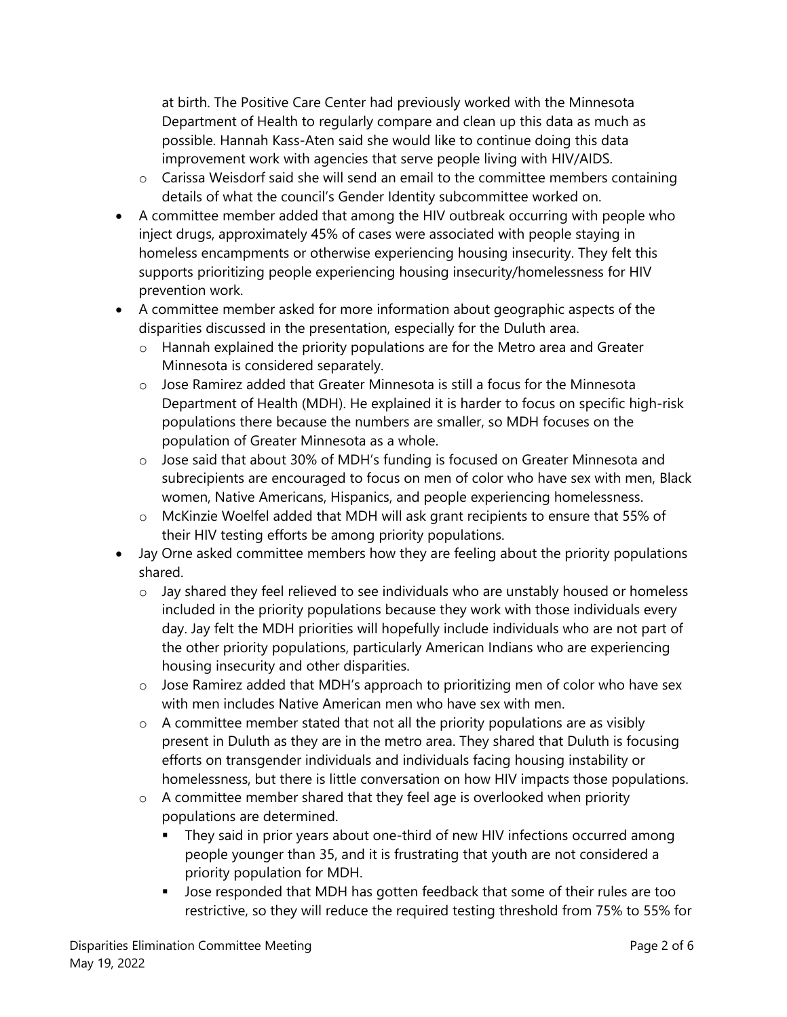at birth. The Positive Care Center had previously worked with the Minnesota Department of Health to regularly compare and clean up this data as much as possible. Hannah Kass-Aten said she would like to continue doing this data improvement work with agencies that serve people living with HIV/AIDS.

- o Carissa Weisdorf said she will send an email to the committee members containing details of what the council's Gender Identity subcommittee worked on.
- A committee member added that among the HIV outbreak occurring with people who inject drugs, approximately 45% of cases were associated with people staying in homeless encampments or otherwise experiencing housing insecurity. They felt this supports prioritizing people experiencing housing insecurity/homelessness for HIV prevention work.
- A committee member asked for more information about geographic aspects of the disparities discussed in the presentation, especially for the Duluth area.
	- o Hannah explained the priority populations are for the Metro area and Greater Minnesota is considered separately.
	- $\circ$  Jose Ramirez added that Greater Minnesota is still a focus for the Minnesota Department of Health (MDH). He explained it is harder to focus on specific high-risk populations there because the numbers are smaller, so MDH focuses on the population of Greater Minnesota as a whole.
	- o Jose said that about 30% of MDH's funding is focused on Greater Minnesota and subrecipients are encouraged to focus on men of color who have sex with men, Black women, Native Americans, Hispanics, and people experiencing homelessness.
	- o McKinzie Woelfel added that MDH will ask grant recipients to ensure that 55% of their HIV testing efforts be among priority populations.
- Jay Orne asked committee members how they are feeling about the priority populations shared.
	- o Jay shared they feel relieved to see individuals who are unstably housed or homeless included in the priority populations because they work with those individuals every day. Jay felt the MDH priorities will hopefully include individuals who are not part of the other priority populations, particularly American Indians who are experiencing housing insecurity and other disparities.
	- o Jose Ramirez added that MDH's approach to prioritizing men of color who have sex with men includes Native American men who have sex with men.
	- o A committee member stated that not all the priority populations are as visibly present in Duluth as they are in the metro area. They shared that Duluth is focusing efforts on transgender individuals and individuals facing housing instability or homelessness, but there is little conversation on how HIV impacts those populations.
	- o A committee member shared that they feel age is overlooked when priority populations are determined.
		- They said in prior years about one-third of new HIV infections occurred among people younger than 35, and it is frustrating that youth are not considered a priority population for MDH.
		- Jose responded that MDH has gotten feedback that some of their rules are too restrictive, so they will reduce the required testing threshold from 75% to 55% for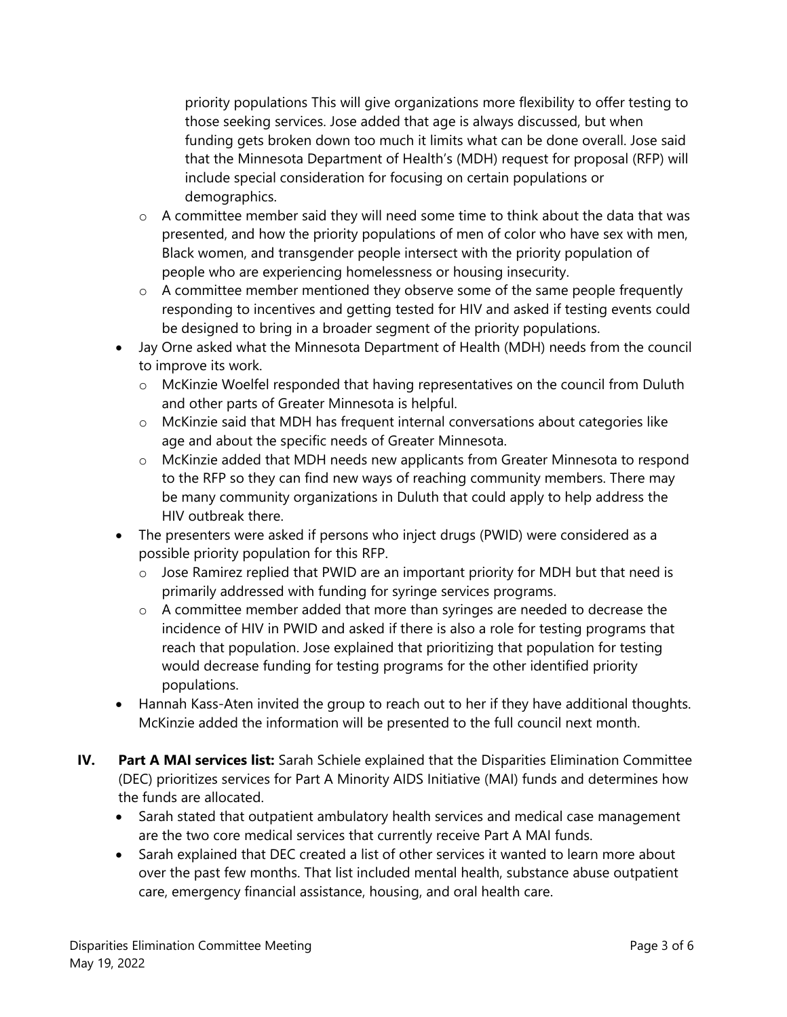priority populations This will give organizations more flexibility to offer testing to those seeking services. Jose added that age is always discussed, but when funding gets broken down too much it limits what can be done overall. Jose said that the Minnesota Department of Health's (MDH) request for proposal (RFP) will include special consideration for focusing on certain populations or demographics.

- $\circ$  A committee member said they will need some time to think about the data that was presented, and how the priority populations of men of color who have sex with men, Black women, and transgender people intersect with the priority population of people who are experiencing homelessness or housing insecurity.
- $\circ$  A committee member mentioned they observe some of the same people frequently responding to incentives and getting tested for HIV and asked if testing events could be designed to bring in a broader segment of the priority populations.
- Jay Orne asked what the Minnesota Department of Health (MDH) needs from the council to improve its work.
	- o McKinzie Woelfel responded that having representatives on the council from Duluth and other parts of Greater Minnesota is helpful.
	- o McKinzie said that MDH has frequent internal conversations about categories like age and about the specific needs of Greater Minnesota.
	- o McKinzie added that MDH needs new applicants from Greater Minnesota to respond to the RFP so they can find new ways of reaching community members. There may be many community organizations in Duluth that could apply to help address the HIV outbreak there.
- The presenters were asked if persons who inject drugs (PWID) were considered as a possible priority population for this RFP.
	- o Jose Ramirez replied that PWID are an important priority for MDH but that need is primarily addressed with funding for syringe services programs.
	- o A committee member added that more than syringes are needed to decrease the incidence of HIV in PWID and asked if there is also a role for testing programs that reach that population. Jose explained that prioritizing that population for testing would decrease funding for testing programs for the other identified priority populations.
- Hannah Kass-Aten invited the group to reach out to her if they have additional thoughts. McKinzie added the information will be presented to the full council next month.
- **IV. Part A MAI services list:** Sarah Schiele explained that the Disparities Elimination Committee (DEC) prioritizes services for Part A Minority AIDS Initiative (MAI) funds and determines how the funds are allocated.
	- Sarah stated that outpatient ambulatory health services and medical case management are the two core medical services that currently receive Part A MAI funds.
	- Sarah explained that DEC created a list of other services it wanted to learn more about over the past few months. That list included mental health, substance abuse outpatient care, emergency financial assistance, housing, and oral health care.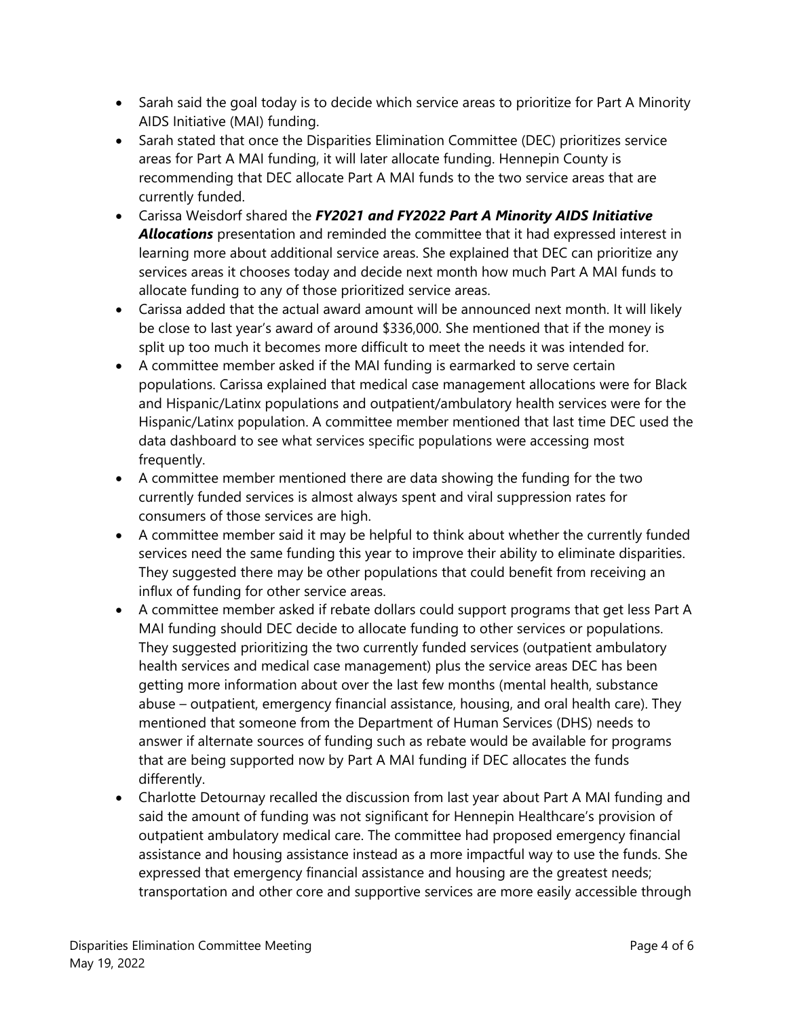- Sarah said the goal today is to decide which service areas to prioritize for Part A Minority AIDS Initiative (MAI) funding.
- Sarah stated that once the Disparities Elimination Committee (DEC) prioritizes service areas for Part A MAI funding, it will later allocate funding. Hennepin County is recommending that DEC allocate Part A MAI funds to the two service areas that are currently funded.
- Carissa Weisdorf shared the *FY2021 and FY2022 Part A Minority AIDS Initiative Allocations* presentation and reminded the committee that it had expressed interest in learning more about additional service areas. She explained that DEC can prioritize any services areas it chooses today and decide next month how much Part A MAI funds to allocate funding to any of those prioritized service areas.
- Carissa added that the actual award amount will be announced next month. It will likely be close to last year's award of around \$336,000. She mentioned that if the money is split up too much it becomes more difficult to meet the needs it was intended for.
- A committee member asked if the MAI funding is earmarked to serve certain populations. Carissa explained that medical case management allocations were for Black and Hispanic/Latinx populations and outpatient/ambulatory health services were for the Hispanic/Latinx population. A committee member mentioned that last time DEC used the data dashboard to see what services specific populations were accessing most frequently.
- A committee member mentioned there are data showing the funding for the two currently funded services is almost always spent and viral suppression rates for consumers of those services are high.
- A committee member said it may be helpful to think about whether the currently funded services need the same funding this year to improve their ability to eliminate disparities. They suggested there may be other populations that could benefit from receiving an influx of funding for other service areas.
- A committee member asked if rebate dollars could support programs that get less Part A MAI funding should DEC decide to allocate funding to other services or populations. They suggested prioritizing the two currently funded services (outpatient ambulatory health services and medical case management) plus the service areas DEC has been getting more information about over the last few months (mental health, substance abuse – outpatient, emergency financial assistance, housing, and oral health care). They mentioned that someone from the Department of Human Services (DHS) needs to answer if alternate sources of funding such as rebate would be available for programs that are being supported now by Part A MAI funding if DEC allocates the funds differently.
- Charlotte Detournay recalled the discussion from last year about Part A MAI funding and said the amount of funding was not significant for Hennepin Healthcare's provision of outpatient ambulatory medical care. The committee had proposed emergency financial assistance and housing assistance instead as a more impactful way to use the funds. She expressed that emergency financial assistance and housing are the greatest needs; transportation and other core and supportive services are more easily accessible through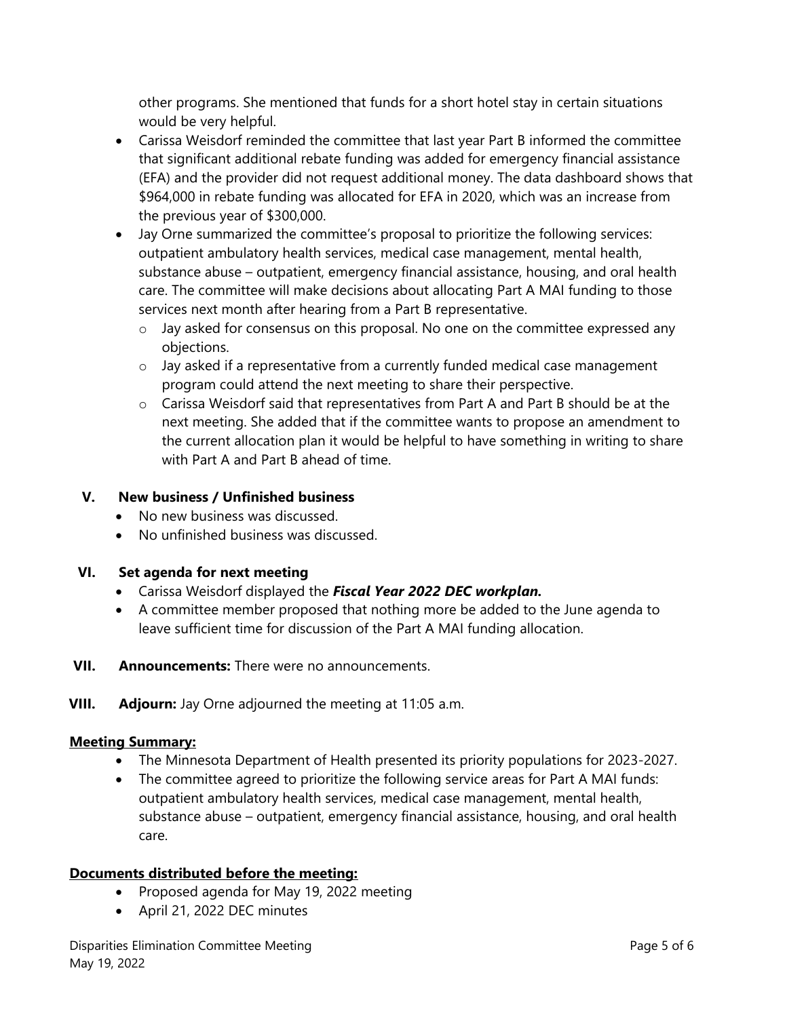other programs. She mentioned that funds for a short hotel stay in certain situations would be very helpful.

- Carissa Weisdorf reminded the committee that last year Part B informed the committee that significant additional rebate funding was added for emergency financial assistance (EFA) and the provider did not request additional money. The data dashboard shows that \$964,000 in rebate funding was allocated for EFA in 2020, which was an increase from the previous year of \$300,000.
- Jay Orne summarized the committee's proposal to prioritize the following services: outpatient ambulatory health services, medical case management, mental health, substance abuse – outpatient, emergency financial assistance, housing, and oral health care. The committee will make decisions about allocating Part A MAI funding to those services next month after hearing from a Part B representative.
	- $\circ$  Jay asked for consensus on this proposal. No one on the committee expressed any objections.
	- $\circ$  Jay asked if a representative from a currently funded medical case management program could attend the next meeting to share their perspective.
	- $\circ$  Carissa Weisdorf said that representatives from Part A and Part B should be at the next meeting. She added that if the committee wants to propose an amendment to the current allocation plan it would be helpful to have something in writing to share with Part A and Part B ahead of time.

## **V. New business / Unfinished business**

- No new business was discussed.
- No unfinished business was discussed.

#### **VI. Set agenda for next meeting**

- Carissa Weisdorf displayed the *Fiscal Year 2022 DEC workplan.*
- A committee member proposed that nothing more be added to the June agenda to leave sufficient time for discussion of the Part A MAI funding allocation.
- **VII. Announcements:** There were no announcements.
- **VIII. Adjourn:** Jay Orne adjourned the meeting at 11:05 a.m.

#### **Meeting Summary:**

- The Minnesota Department of Health presented its priority populations for 2023-2027.
- The committee agreed to prioritize the following service areas for Part A MAI funds: outpatient ambulatory health services, medical case management, mental health, substance abuse – outpatient, emergency financial assistance, housing, and oral health care.

#### **Documents distributed before the meeting:**

- Proposed agenda for May 19, 2022 meeting
- April 21, 2022 DEC minutes